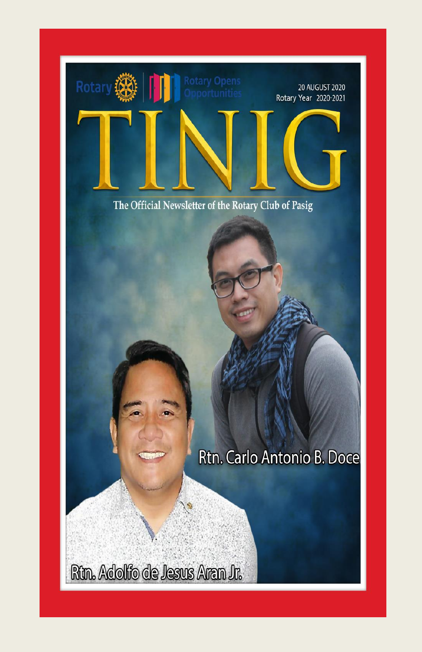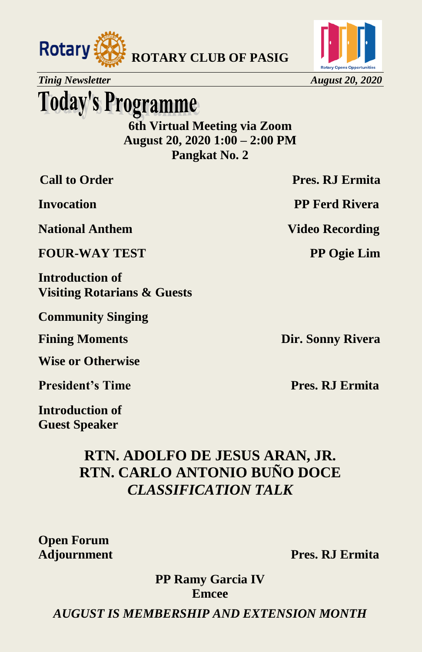



**Today's Programme** 

**6th Virtual Meeting via Zoom August 20, 2020 1:00 – 2:00 PM Pangkat No. 2**

**National Anthem Video Recording** 

**FOUR-WAY TEST PP Ogie Lim** 

**Introduction of Visiting Rotarians & Guests** 

**Community Singing** 

**Wise or Otherwise** 

**President's Time Pres. RJ Ermita** 

**Introduction of Guest Speaker** 

## **RTN. ADOLFO DE JESUS ARAN, JR. RTN. CARLO ANTONIO BUÑO DOCE** *CLASSIFICATION TALK*

**Open Forum**

**Adjournment Pres. RJ Ermita**

**PP Ramy Garcia IV Emcee**

*AUGUST IS MEMBERSHIP AND EXTENSION MONTH*

**Call to Order Pres. RJ Ermita** 

**Fining Moments** Dir. Sonny Rivera

**Invocation PP Ferd Rivera**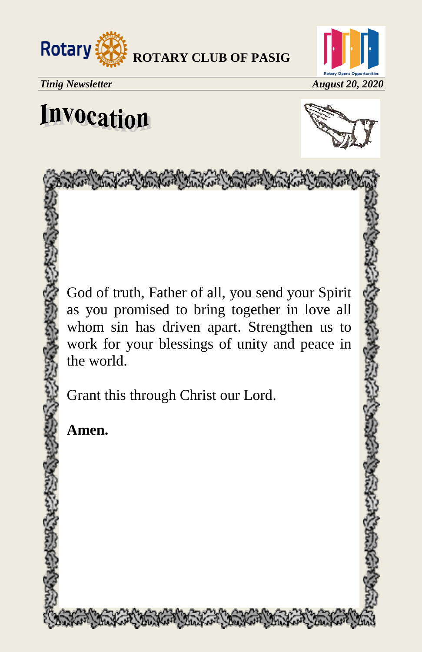

CONTRACTOR TO THE CONTRACTOR TO THE



# **Invocation**



God of truth, Father of all, you send your Spirit as you promised to bring together in love all whom sin has driven apart. Strengthen us to work for your blessings of unity and peace in the world.

Grant this through Christ our Lord.

**Amen.**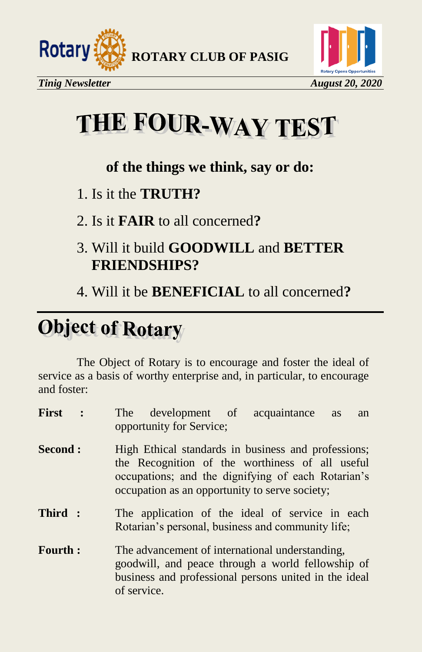



# THE FOUR-WAY TEST

## **of the things we think, say or do:**

- 1. Is it the **TRUTH?**
- 2. Is it **FAIR** to all concerned**?**
- 3. Will it build **GOODWILL** and **BETTER FRIENDSHIPS?**
- 4. Will it be **BENEFICIAL** to all concerned**?**

## **Object of Rotary**

The Object of Rotary is to encourage and foster the ideal of service as a basis of worthy enterprise and, in particular, to encourage and foster:

| First          | development of acquaintance<br>The<br>as<br>an<br>opportunity for Service;                                                                                                                                     |
|----------------|----------------------------------------------------------------------------------------------------------------------------------------------------------------------------------------------------------------|
| Second :       | High Ethical standards in business and professions;<br>the Recognition of the worthiness of all useful<br>occupations; and the dignifying of each Rotarian's<br>occupation as an opportunity to serve society; |
| Third:         | The application of the ideal of service in each<br>Rotarian's personal, business and community life;                                                                                                           |
| <b>Fourth:</b> | The advancement of international understanding,<br>goodwill, and peace through a world fellowship of<br>business and professional persons united in the ideal<br>of service.                                   |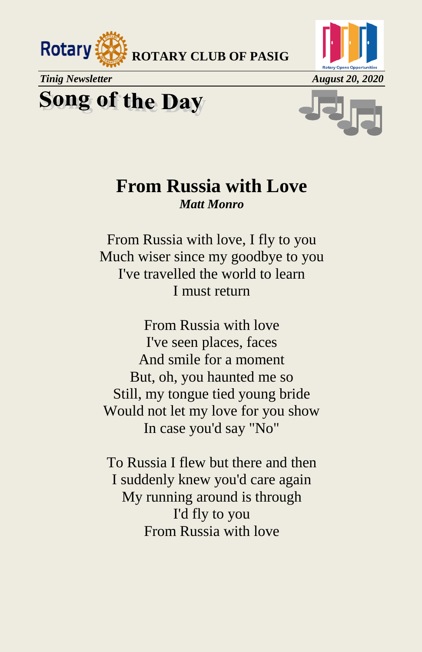







## **From Russia with Love** *[Matt Monro](https://www.google.com/search?q=Matt+Monro&stick=H4sIAAAAAAAAAONgVuLUz9U3MDZPsbBYxMrlm1hSouCbn1eUDwBR3mcWGgAAAA&sa=X&ved=2ahUKEwi-mJvyxqbrAhWQwpQKHc3BCNMQMTAAegQIDRAF)*

From Russia with love, I fly to you Much wiser since my goodbye to you I've travelled the world to learn I must return

From Russia with love I've seen places, faces And smile for a moment But, oh, you haunted me so Still, my tongue tied young bride Would not let my love for you show In case you'd say "No"

To Russia I flew but there and then I suddenly knew you'd care again My running around is through I'd fly to you From Russia with love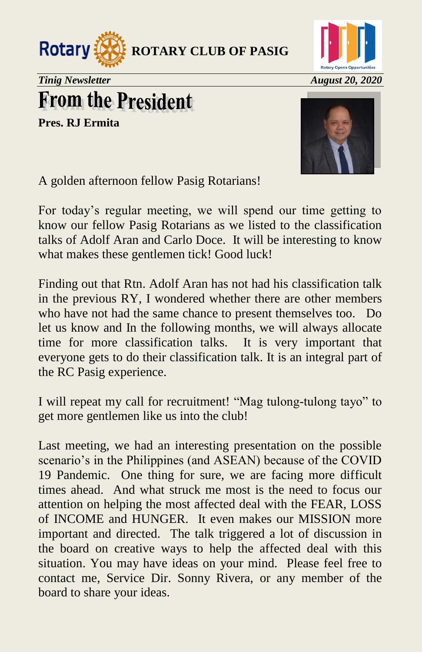



# **From the President**

**Pres. RJ Ermita**



A golden afternoon fellow Pasig Rotarians!

For today's regular meeting, we will spend our time getting to know our fellow Pasig Rotarians as we listed to the classification talks of Adolf Aran and Carlo Doce. It will be interesting to know what makes these gentlemen tick! Good luck!

Finding out that Rtn. Adolf Aran has not had his classification talk in the previous RY, I wondered whether there are other members who have not had the same chance to present themselves too. Do let us know and In the following months, we will always allocate time for more classification talks. It is very important that everyone gets to do their classification talk. It is an integral part of the RC Pasig experience.

I will repeat my call for recruitment! "Mag tulong-tulong tayo" to get more gentlemen like us into the club!

Last meeting, we had an interesting presentation on the possible scenario's in the Philippines (and ASEAN) because of the COVID 19 Pandemic. One thing for sure, we are facing more difficult times ahead. And what struck me most is the need to focus our attention on helping the most affected deal with the FEAR, LOSS of INCOME and HUNGER. It even makes our MISSION more important and directed. The talk triggered a lot of discussion in the board on creative ways to help the affected deal with this situation. You may have ideas on your mind. Please feel free to contact me, Service Dir. Sonny Rivera, or any member of the board to share your ideas.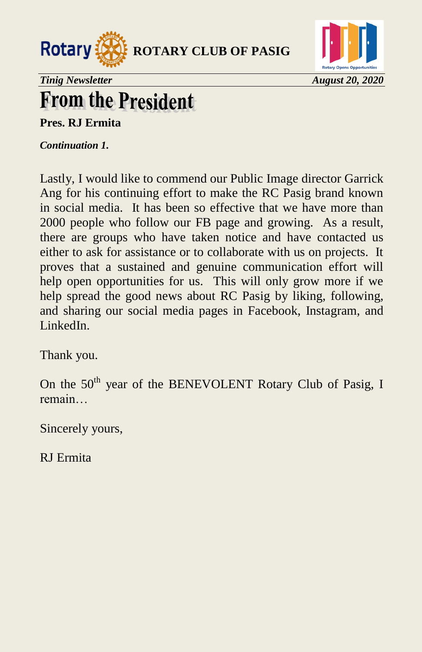



# **From the President**

**Pres. RJ Ermita**

*Continuation 1.* 

Lastly, I would like to commend our Public Image director Garrick Ang for his continuing effort to make the RC Pasig brand known in social media. It has been so effective that we have more than 2000 people who follow our FB page and growing. As a result, there are groups who have taken notice and have contacted us either to ask for assistance or to collaborate with us on projects. It proves that a sustained and genuine communication effort will help open opportunities for us. This will only grow more if we help spread the good news about RC Pasig by liking, following, and sharing our social media pages in Facebook, Instagram, and LinkedIn.

Thank you.

On the  $50<sup>th</sup>$  year of the BENEVOLENT Rotary Club of Pasig, I remain…

Sincerely yours,

RJ Ermita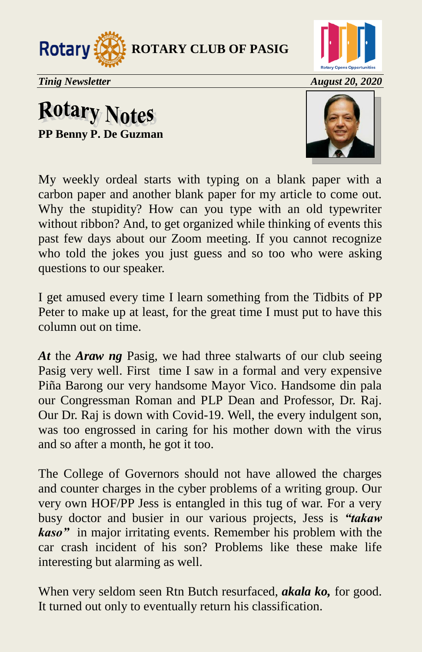



## **Rotary Notes PP Benny P. De Guzman**



My weekly ordeal starts with typing on a blank paper with a carbon paper and another blank paper for my article to come out. Why the stupidity? How can you type with an old typewriter without ribbon? And, to get organized while thinking of events this past few days about our Zoom meeting. If you cannot recognize who told the jokes you just guess and so too who were asking questions to our speaker.

I get amused every time I learn something from the Tidbits of PP Peter to make up at least, for the great time I must put to have this column out on time.

*At* the *Araw ng* Pasig, we had three stalwarts of our club seeing Pasig very well. First time I saw in a formal and very expensive Piña Barong our very handsome Mayor Vico. Handsome din pala our Congressman Roman and PLP Dean and Professor, Dr. Raj. Our Dr. Raj is down with Covid-19. Well, the every indulgent son, was too engrossed in caring for his mother down with the virus and so after a month, he got it too.

The College of Governors should not have allowed the charges and counter charges in the cyber problems of a writing group. Our very own HOF/PP Jess is entangled in this tug of war. For a very busy doctor and busier in our various projects, Jess is *"takaw kaso"* in major irritating events. Remember his problem with the car crash incident of his son? Problems like these make life interesting but alarming as well.

When very seldom seen Rtn Butch resurfaced, *akala ko,* for good. It turned out only to eventually return his classification.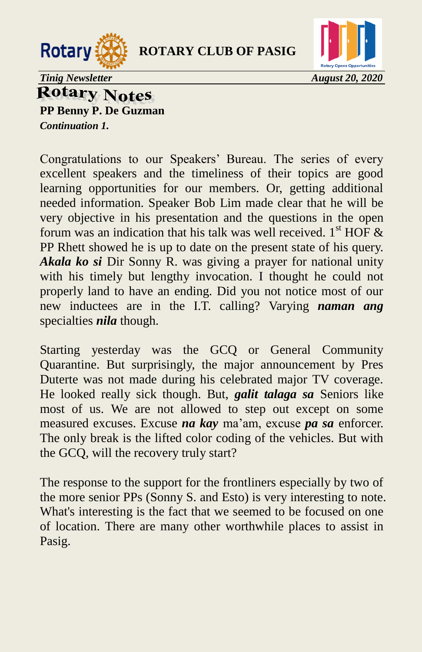



**Rotary Notes PP Benny P. De Guzman**

*Continuation 1.* 

Congratulations to our Speakers' Bureau. The series of every excellent speakers and the timeliness of their topics are good learning opportunities for our members. Or, getting additional needed information. Speaker Bob Lim made clear that he will be very objective in his presentation and the questions in the open forum was an indication that his talk was well received.  $1<sup>st</sup>$  HOF  $\&$ PP Rhett showed he is up to date on the present state of his query. *Akala ko si* Dir Sonny R. was giving a prayer for national unity with his timely but lengthy invocation. I thought he could not properly land to have an ending. Did you not notice most of our new inductees are in the I.T. calling? Varying *naman ang* specialties *nila* though.

Starting yesterday was the GCQ or General Community Quarantine. But surprisingly, the major announcement by Pres Duterte was not made during his celebrated major TV coverage. He looked really sick though. But, *galit talaga sa* Seniors like most of us. We are not allowed to step out except on some measured excuses. Excuse *na kay* ma'am, excuse *pa sa* enforcer. The only break is the lifted color coding of the vehicles. But with the GCQ, will the recovery truly start?

The response to the support for the frontliners especially by two of the more senior PPs (Sonny S. and Esto) is very interesting to note. What's interesting is the fact that we seemed to be focused on one of location. There are many other worthwhile places to assist in Pasig.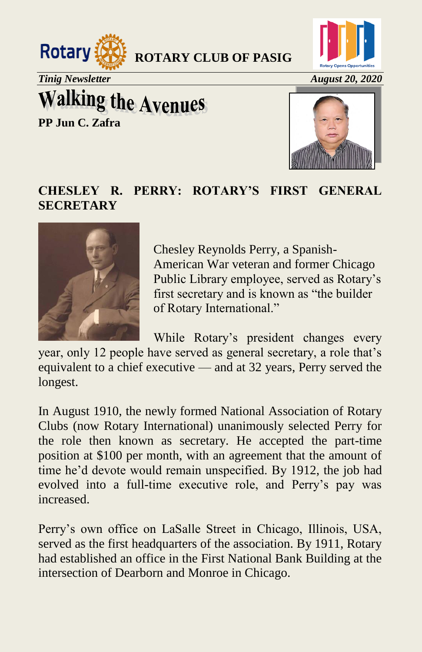



*Tinig Newsletter August 20, 2020*

**Walking the Avenues** 

**PP Jun C. Zafra**



## **CHESLEY R. PERRY: ROTARY'S FIRST GENERAL SECRETARY**



Chesley Reynolds Perry, a Spanish-American War veteran and former Chicago Public Library employee, served as Rotary's first secretary and is known as "the builder of Rotary International."

While Rotary's president changes every

year, only 12 people have served as general secretary, a role that's equivalent to a chief executive — and at 32 years, Perry served the longest.

In August 1910, the newly formed National Association of Rotary Clubs (now Rotary International) unanimously selected Perry for the role then known as secretary. He accepted the part-time position at \$100 per month, with an agreement that the amount of time he'd devote would remain unspecified. By 1912, the job had evolved into a full-time executive role, and Perry's pay was increased.

Perry's own office on LaSalle Street in Chicago, Illinois, USA, served as the first headquarters of the association. By 1911, Rotary had established an office in the First National Bank Building at the intersection of Dearborn and Monroe in Chicago.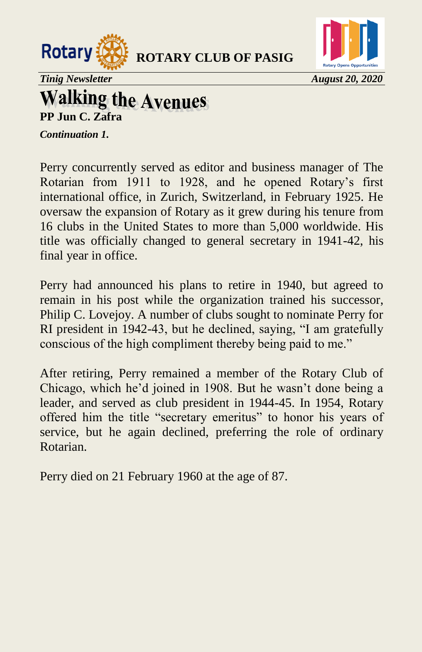



*Tinig Newsletter August 20, 2020*

## **Walking the Avenues PP Jun C. Zafra**

*Continuation 1.*

Perry concurrently served as editor and business manager of The Rotarian from 1911 to 1928, and he opened Rotary's first international office, in Zurich, Switzerland, in February 1925. He oversaw the expansion of Rotary as it grew during his tenure from 16 clubs in the United States to more than 5,000 worldwide. His title was officially changed to general secretary in 1941-42, his final year in office.

Perry had announced his plans to retire in 1940, but agreed to remain in his post while the organization trained his successor, Philip C. Lovejoy. A number of clubs sought to nominate Perry for RI president in 1942-43, but he declined, saying, "I am gratefully conscious of the high compliment thereby being paid to me."

After retiring, Perry remained a member of the Rotary Club of Chicago, which he'd joined in 1908. But he wasn't done being a leader, and served as club president in 1944-45. In 1954, Rotary offered him the title "secretary emeritus" to honor his years of service, but he again declined, preferring the role of ordinary Rotarian.

Perry died on 21 February 1960 at the age of 87.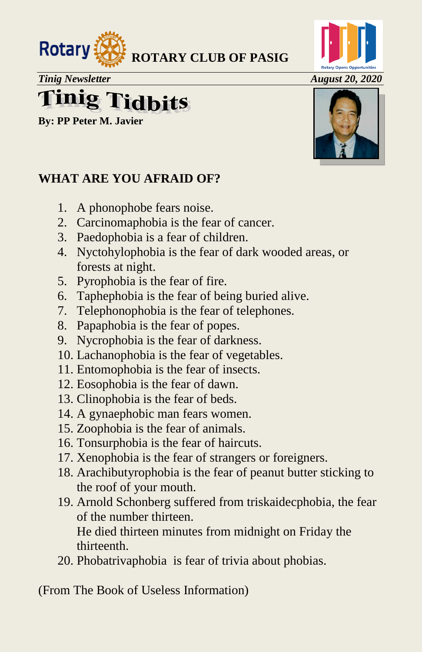



**By: PP Peter M. Javier** 



## **WHAT ARE YOU AFRAID OF?**

- 1. A phonophobe fears noise.
- 2. Carcinomaphobia is the fear of cancer.
- 3. Paedophobia is a fear of children.
- 4. Nyctohylophobia is the fear of dark wooded areas, or forests at night.

**ROTARY CLUB OF PASIG** 

- 5. Pyrophobia is the fear of fire.
- 6. Taphephobia is the fear of being buried alive.
- 7. Telephonophobia is the fear of telephones.
- 8. Papaphobia is the fear of popes.
- 9. Nycrophobia is the fear of darkness.
- 10. Lachanophobia is the fear of vegetables.
- 11. Entomophobia is the fear of insects.
- 12. Eosophobia is the fear of dawn.
- 13. Clinophobia is the fear of beds.
- 14. A gynaephobic man fears women.
- 15. Zoophobia is the fear of animals.
- 16. Tonsurphobia is the fear of haircuts.
- 17. Xenophobia is the fear of strangers or foreigners.
- 18. Arachibutyrophobia is the fear of peanut butter sticking to the roof of your mouth.
- 19. Arnold Schonberg suffered from triskaidecphobia, the fear of the number thirteen.

He died thirteen minutes from midnight on Friday the thirteenth.

20. Phobatrivaphobia is fear of trivia about phobias.

(From The Book of Useless Information)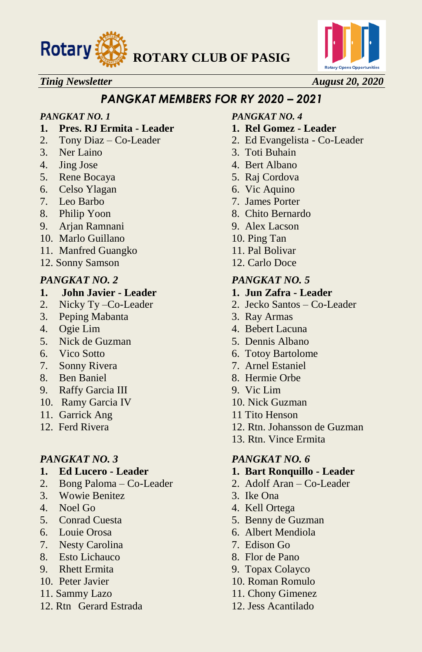



### *PANGKAT MEMBERS FOR RY 2020 – 2021*

- **1. Pres. RJ Ermita Leader 1. Rel Gomez Leader**
- 
- 
- 
- 5. Rene Bocaya 5. Raj Cordova
- 6. Celso Ylagan 6. Vic Aquino
- 
- 
- 9. Arjan Ramnani 9. Alex Lacson
- 10. Marlo Guillano 10. Ping Tan
- 11. Manfred Guangko 11. Pal Bolivar
- 12. Sonny Samson 12. Carlo Doce

- **1. John Javier Leader 1. Jun Zafra Leader** 2. Nicky Ty Co-Leader 2. Jecko Santos Co-L
- 
- 3. Peping Mabanta 3. Ray Armas
- 
- 5. Nick de Guzman 5. Dennis Albano
- 
- 7. Sonny Rivera 7. Arnel Estaniel
- 8. Ben Baniel 8. Hermie Orbe
- 9. Raffy Garcia III 9. Vic Lim
- 10. Ramy Garcia IV 10. Nick Guzman
- 
- 

- **1. Ed Lucero Leader 1. Bart Ronquillo Leader**
- 2. Bong Paloma Co-Leader 2. Adolf Aran Co-Leader
- 3. Wowie Benitez 3. Ike Ona
- 
- 
- 
- 7. Nesty Carolina 7. Edison Go
- 8. Esto Lichauco 8. Flor de Pano
- 9. Rhett Ermita 9. Topax Colayco
- 
- 
- 12. Rtn Gerard Estrada 12. Jess Acantilado

### *PANGKAT NO. 1 PANGKAT NO. 4*

- 
- 2. Tony Diaz Co-Leader 2. Ed Evangelista Co-Leader
- 3. Ner Laino 3. Toti Buhain
- 4. Jing Jose 4. Bert Albano
	-
	-
- 7. Leo Barbo 7. James Porter
- 8. Philip Yoon 8. Chito Bernardo
	-
	-
	-
	-

### *PANGKAT NO. 2 PANGKAT NO. 5*

- 
- 2. Nicky Ty –Co-Leader 2. Jecko Santos Co-Leader
	-
- 4. Ogie Lim 4. Bebert Lacuna
	-
- 6. Vico Sotto 6. Totoy Bartolome
	-
	-
	-
	-
- 11. Garrick Ang 11 Tito Henson
- 12. Ferd Rivera 12. Rtn. Johansson de Guzman
	- 13. Rtn. Vince Ermita

### *PANGKAT NO. 3 PANGKAT NO. 6*

- 
- 
- 
- 4. Noel Go 4. Kell Ortega
- 5. Conrad Cuesta 5. Benny de Guzman
- 6. Louie Orosa 6. Albert Mendiola
	-
	-
	-
- 10. Peter Javier 10. Roman Romulo
- 11. Sammy Lazo 11. Chony Gimenez
	-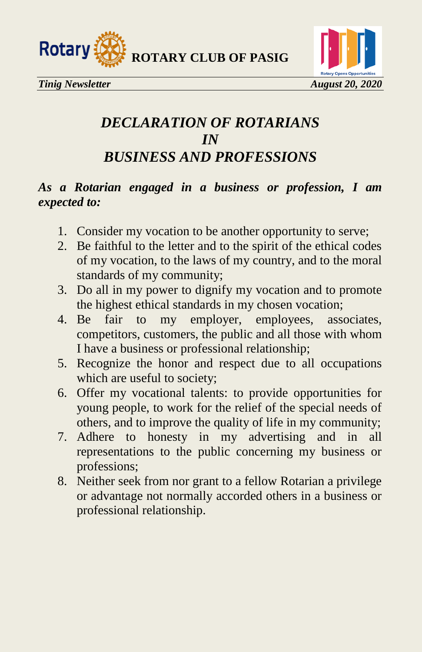

## *DECLARATION OF ROTARIANS IN BUSINESS AND PROFESSIONS*

## *As a Rotarian engaged in a business or profession, I am expected to:*

- 1. Consider my vocation to be another opportunity to serve;
- 2. Be faithful to the letter and to the spirit of the ethical codes of my vocation, to the laws of my country, and to the moral standards of my community;
- 3. Do all in my power to dignify my vocation and to promote the highest ethical standards in my chosen vocation;
- 4. Be fair to my employer, employees, associates, competitors, customers, the public and all those with whom I have a business or professional relationship;
- 5. Recognize the honor and respect due to all occupations which are useful to society;
- 6. Offer my vocational talents: to provide opportunities for young people, to work for the relief of the special needs of others, and to improve the quality of life in my community;
- 7. Adhere to honesty in my advertising and in all representations to the public concerning my business or professions;
- 8. Neither seek from nor grant to a fellow Rotarian a privilege or advantage not normally accorded others in a business or professional relationship.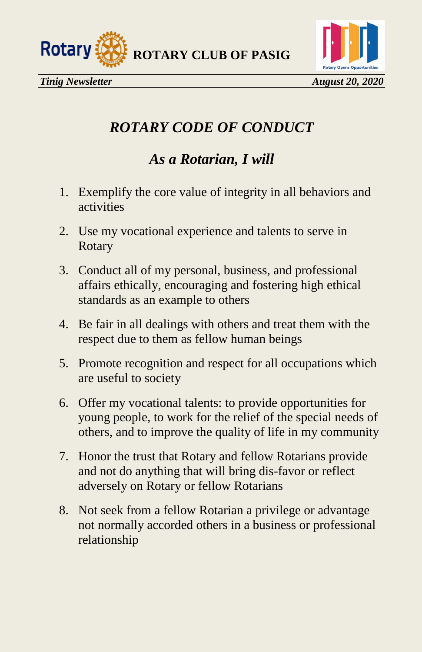



## *ROTARY CODE OF CONDUCT*

## *As a Rotarian, I will*

- 1. Exemplify the core value of integrity in all behaviors and activities
- 2. Use my vocational experience and talents to serve in Rotary
- 3. Conduct all of my personal, business, and professional affairs ethically, encouraging and fostering high ethical standards as an example to others
- 4. Be fair in all dealings with others and treat them with the respect due to them as fellow human beings
- 5. Promote recognition and respect for all occupations which are useful to society
- 6. Offer my vocational talents: to provide opportunities for young people, to work for the relief of the special needs of others, and to improve the quality of life in my community
- 7. Honor the trust that Rotary and fellow Rotarians provide and not do anything that will bring dis-favor or reflect adversely on Rotary or fellow Rotarians
- 8. Not seek from a fellow Rotarian a privilege or advantage not normally accorded others in a business or professional relationship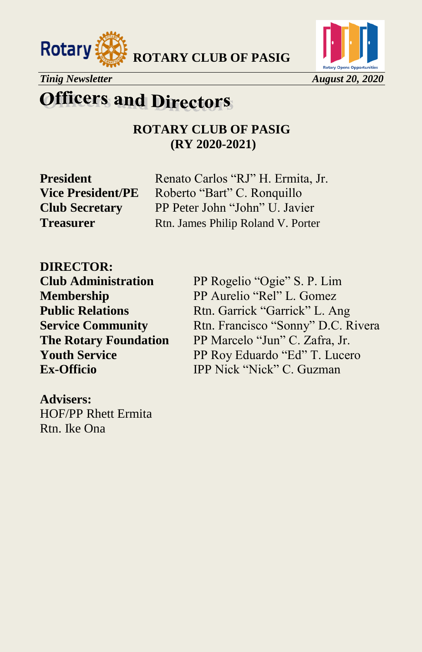





## **Officers and Directors**

**ROTARY CLUB OF PASIG (RY 2020-2021)**

**President** Renato Carlos "RJ" H. Ermita, Jr. **Vice President/PE** Roberto "Bart" C. Ronquillo **Club Secretary** PP Peter John "John" U. Javier **Treasurer** Rtn. James Philip Roland V. Porter

**DIRECTOR:** 

**Club Administration** PP Rogelio "Ogie" S. P. Lim **Membership** PP Aurelio "Rel" L. Gomez **Public Relations** Rtn. Garrick "Garrick" L. Ang **Service Community** Rtn. Francisco "Sonny" D.C. Rivera **The Rotary Foundation** PP Marcelo "Jun" C. Zafra, Jr.<br> **Youth Service** PP Rov Eduardo "Ed" T. Luce **PP Roy Eduardo "Ed" T. Lucero Ex-Officio IPP Nick "Nick" C. Guzman** 

**Advisers:**  HOF/PP Rhett Ermita Rtn. Ike Ona